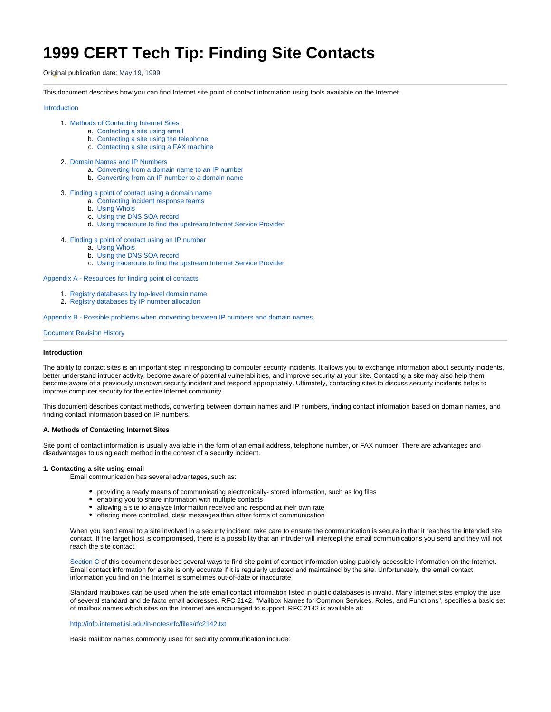# **1999 CERT Tech Tip: Finding Site Contacts**

Original publication date: May 19, 1999

This document describes how you can find Internet site point of contact information using tools available on the Internet.

# [Introduction](#page-0-0)

- 1. [Methods of Contacting Internet Sites](#page-0-1)
	- a. [Contacting a site using email](#page-0-2)
	- b. [Contacting a site using the telephone](#page-1-0)
	- c. [Contacting a site using a FAX machine](#page-1-1)
- 2. [Domain Names and IP Numbers](#page-1-2)
	- a. [Converting from a domain name to an IP number](#page-1-3)
	- b. [Converting from an IP number to a domain name](#page-2-0)
- 3. [Finding a point of contact using a domain name](#page-2-1)
	- a. [Contacting incident response teams](#page-2-2)
	- b. [Using Whois](#page-2-3)
	- c. [Using the DNS SOA record](#page-4-0)
	- d. [Using traceroute to find the upstream Internet Service Provider](#page-4-1)
- 4. [Finding a point of contact using an IP number](#page-5-0)
	- a. [Using Whois](#page-5-1)
	- b. [Using the DNS SOA record](#page-6-0)
	- c. [Using traceroute to find the upstream Internet Service Provider](#page-6-1)

[Appendix A - Resources for finding point of contacts](#page-7-0)

- 1. [Registry databases by top-level domain name](#page-7-1)
- 2. [Registry databases by IP number allocation](#page-7-2)

[Appendix B - Possible problems when converting between IP numbers and domain names.](#page-7-3)

# [Document Revision History](#page-8-0)

# <span id="page-0-0"></span>**Introduction**

The ability to contact sites is an important step in responding to computer security incidents. It allows you to exchange information about security incidents, better understand intruder activity, become aware of potential vulnerabilities, and improve security at your site. Contacting a site may also help them become aware of a previously unknown security incident and respond appropriately. Ultimately, contacting sites to discuss security incidents helps to improve computer security for the entire Internet community.

This document describes contact methods, converting between domain names and IP numbers, finding contact information based on domain names, and finding contact information based on IP numbers.

## <span id="page-0-1"></span>**A. Methods of Contacting Internet Sites**

Site point of contact information is usually available in the form of an email address, telephone number, or FAX number. There are advantages and disadvantages to using each method in the context of a security incident.

## <span id="page-0-2"></span>**1. Contacting a site using email**

Email communication has several advantages, such as:

- providing a ready means of communicating electronically- stored information, such as log files
- enabling you to share information with multiple contacts
- allowing a site to analyze information received and respond at their own rate
- offering more controlled, clear messages than other forms of communication

When you send email to a site involved in a security incident, take care to ensure the communication is secure in that it reaches the intended site contact. If the target host is compromised, there is a possibility that an intruder will intercept the email communications you send and they will not reach the site contact.

[Section C](#page-2-1) of this document describes several ways to find site point of contact information using publicly-accessible information on the Internet. Email contact information for a site is only accurate if it is regularly updated and maintained by the site. Unfortunately, the email contact information you find on the Internet is sometimes out-of-date or inaccurate.

Standard mailboxes can be used when the site email contact information listed in public databases is invalid. Many Internet sites employ the use of several standard and de facto email addresses. RFC 2142, "Mailbox Names for Common Services, Roles, and Functions", specifies a basic set of mailbox names which sites on the Internet are encouraged to support. RFC 2142 is available at:

<http://info.internet.isi.edu/in-notes/rfc/files/rfc2142.txt>

Basic mailbox names commonly used for security communication include: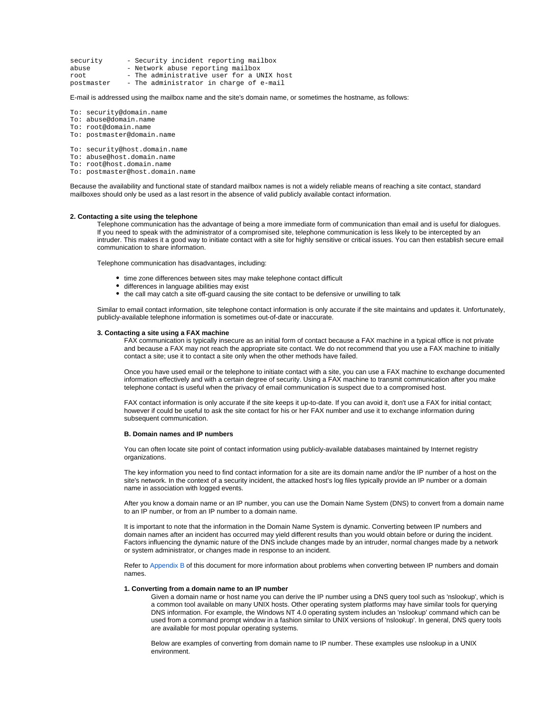- security Security incident reporting mailbox<br>abuse Network abuse reporting mailbox
- Network abuse reporting mailbox
- root The administrative user for a UNIX host<br>postmaster The administrator in charge of e-mail
- The administrator in charge of e-mail

# E-mail is addressed using the mailbox name and the site's domain name, or sometimes the hostname, as follows:

- To: security@domain.name
- To: abuse@domain.name
- To: root@domain.name To: postmaster@domain.name
- 
- To: security@host.domain.name To: abuse@host.domain.name
- To: root@host.domain.name
- To: postmaster@host.domain.name

Because the availability and functional state of standard mailbox names is not a widely reliable means of reaching a site contact, standard mailboxes should only be used as a last resort in the absence of valid publicly available contact information.

# <span id="page-1-0"></span>**2. Contacting a site using the telephone**

Telephone communication has the advantage of being a more immediate form of communication than email and is useful for dialogues. If you need to speak with the administrator of a compromised site, telephone communication is less likely to be intercepted by an intruder. This makes it a good way to initiate contact with a site for highly sensitive or critical issues. You can then establish secure email communication to share information.

Telephone communication has disadvantages, including:

- time zone differences between sites may make telephone contact difficult
- differences in language abilities may exist
- $\bullet$ the call may catch a site off-guard causing the site contact to be defensive or unwilling to talk

Similar to email contact information, site telephone contact information is only accurate if the site maintains and updates it. Unfortunately, publicly-available telephone information is sometimes out-of-date or inaccurate.

## <span id="page-1-1"></span>**3. Contacting a site using a FAX machine**

FAX communication is typically insecure as an initial form of contact because a FAX machine in a typical office is not private and because a FAX may not reach the appropriate site contact. We do not recommend that you use a FAX machine to initially contact a site; use it to contact a site only when the other methods have failed.

Once you have used email or the telephone to initiate contact with a site, you can use a FAX machine to exchange documented information effectively and with a certain degree of security. Using a FAX machine to transmit communication after you make telephone contact is useful when the privacy of email communication is suspect due to a compromised host.

FAX contact information is only accurate if the site keeps it up-to-date. If you can avoid it, don't use a FAX for initial contact; however if could be useful to ask the site contact for his or her FAX number and use it to exchange information during subsequent communication.

# <span id="page-1-2"></span>**B. Domain names and IP numbers**

You can often locate site point of contact information using publicly-available databases maintained by Internet registry organizations.

The key information you need to find contact information for a site are its domain name and/or the IP number of a host on the site's network. In the context of a security incident, the attacked host's log files typically provide an IP number or a domain name in association with logged events.

After you know a domain name or an IP number, you can use the Domain Name System (DNS) to convert from a domain name to an IP number, or from an IP number to a domain name.

It is important to note that the information in the Domain Name System is dynamic. Converting between IP numbers and domain names after an incident has occurred may yield different results than you would obtain before or during the incident. Factors influencing the dynamic nature of the DNS include changes made by an intruder, normal changes made by a network or system administrator, or changes made in response to an incident.

Refer to [Appendix B](#page-7-3) of this document for more information about problems when converting between IP numbers and domain names.

# <span id="page-1-3"></span>**1. Converting from a domain name to an IP number**

Given a domain name or host name you can derive the IP number using a DNS query tool such as 'nslookup', which is a common tool available on many UNIX hosts. Other operating system platforms may have similar tools for querying DNS information. For example, the Windows NT 4.0 operating system includes an 'nslookup' command which can be used from a command prompt window in a fashion similar to UNIX versions of 'nslookup'. In general, DNS query tools are available for most popular operating systems.

Below are examples of converting from domain name to IP number. These examples use nslookup in a UNIX environment.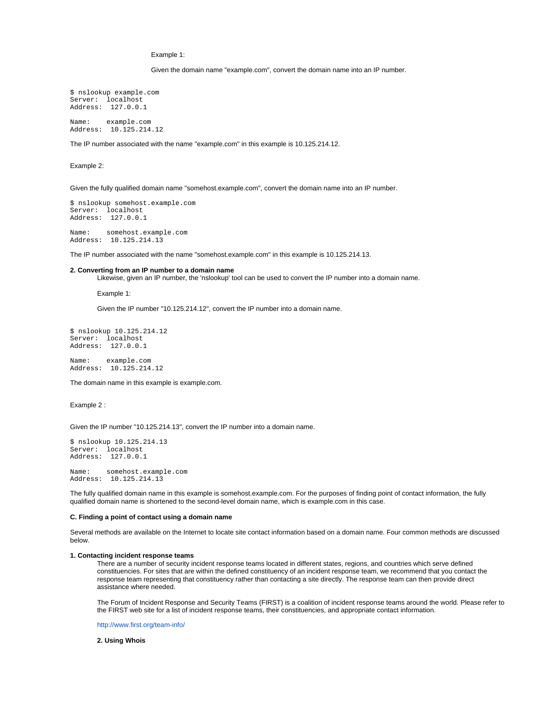Example 1:

Given the domain name "example.com", convert the domain name into an IP number.

\$ nslookup example.com Server: localhost Address: 127.0.0.1

Name: example.com Address: 10.125.214.12

The IP number associated with the name "example.com" in this example is 10.125.214.12.

Example 2:

Given the fully qualified domain name "somehost.example.com", convert the domain name into an IP number.

\$ nslookup somehost.example.com Server: localhost Address: 127.0.0.1 Name: somehost.example.com

Address: 10.125.214.13

The IP number associated with the name "somehost.example.com" in this example is 10.125.214.13.

## <span id="page-2-0"></span>**2. Converting from an IP number to a domain name**

Likewise, given an IP number, the 'nslookup' tool can be used to convert the IP number into a domain name.

Example 1:

Given the IP number "10.125.214.12", convert the IP number into a domain name.

```
$ nslookup 10.125.214.12
Server: localhost
Address: 127.0.0.1
```
Name: example.com Address: 10.125.214.12

The domain name in this example is example.com.

Example 2 :

Given the IP number "10.125.214.13", convert the IP number into a domain name.

```
$ nslookup 10.125.214.13
Server: localhost
Address: 127.0.0.1
```
Name: somehost.example.com Address: 10.125.214.13

The fully qualified domain name in this example is somehost.example.com. For the purposes of finding point of contact information, the fully qualified domain name is shortened to the second-level domain name, which is example.com in this case.

## <span id="page-2-1"></span>**C. Finding a point of contact using a domain name**

Several methods are available on the Internet to locate site contact information based on a domain name. Four common methods are discussed below.

### <span id="page-2-2"></span>**1. Contacting incident response teams**

There are a number of security incident response teams located in different states, regions, and countries which serve defined constituencies. For sites that are within the defined constituency of an incident response team, we recommend that you contact the response team representing that constituency rather than contacting a site directly. The response team can then provide direct assistance where needed.

The Forum of Incident Response and Security Teams (FIRST) is a coalition of incident response teams around the world. Please refer to the FIRST web site for a list of incident response teams, their constituencies, and appropriate contact information.

<http://www.first.org/team-info/>

## <span id="page-2-3"></span>**2. Using Whois**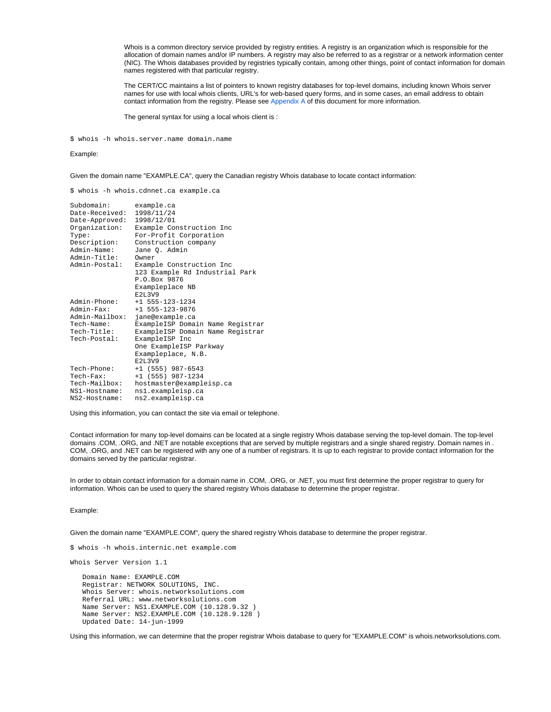Whois is a common directory service provided by registry entities. A registry is an organization which is responsible for the allocation of domain names and/or IP numbers. A registry may also be referred to as a registrar or a network information center (NIC). The Whois databases provided by registries typically contain, among other things, point of contact information for domain names registered with that particular registry.

The CERT/CC maintains a list of pointers to known registry databases for top-level domains, including known Whois server names for use with local whois clients, URL's for web-based query forms, and in some cases, an email address to obtain contact information from the registry. Please see [Appendix A](#page-7-0) of this document for more information.

The general syntax for using a local whois client is :

\$ whois -h whois.server.name domain.name

# Example:

Given the domain name "EXAMPLE.CA", query the Canadian registry Whois database to locate contact information:

\$ whois -h whois.cdnnet.ca example.ca

| Subdomain:     | example.ca                       |
|----------------|----------------------------------|
| Date-Received: | 1998/11/24                       |
| Date-Approved: | 1998/12/01                       |
| Organization:  | Example Construction Inc         |
| Type:          | For-Profit Corporation           |
| Description:   | Construction company             |
| Admin-Name:    | Jane O. Admin                    |
| Admin-Title:   | Owner                            |
| Admin-Postal:  | Example Construction Inc         |
|                | 123 Example Rd Industrial Park   |
|                | P.O.Box 9876                     |
|                | Exampleplace NB                  |
|                | E2L3V9                           |
| Admin-Phone:   | $+1$ 555-123-1234                |
| $Admin-Fax$ :  | $+1$ 555-123-9876                |
| Admin-Mailbox: | jane@example.ca                  |
| Tech-Name:     | ExampleISP Domain Name Registrar |
| Tech-Title:    | ExampleISP Domain Name Registrar |
| Tech-Postal:   | ExampleISP Inc                   |
|                | One ExampleISP Parkway           |
|                | Exampleplace, N.B.               |
|                | E2L3V9                           |
| Tech-Phone:    | $+1$ (555) 987-6543              |
| $Tech-Fax$ :   | $+1$ (555) 987-1234              |
| Tech-Mailbox:  | hostmaster@exampleisp.ca         |
| NS1-Hostname:  | nsl.exampleisp.ca                |
| NS2-Hostname:  | ns2.exampleisp.ca                |

Using this information, you can contact the site via email or telephone.

Contact information for many top-level domains can be located at a single registry Whois database serving the top-level domain. The top-level domains .COM, .ORG, and .NET are notable exceptions that are served by multiple registrars and a single shared registry. Domain names in . COM, .ORG, and .NET can be registered with any one of a number of registrars. It is up to each registrar to provide contact information for the domains served by the particular registrar.

In order to obtain contact information for a domain name in .COM, .ORG, or .NET, you must first determine the proper registrar to query for information. Whois can be used to query the shared registry Whois database to determine the proper registrar.

# Example:

Given the domain name "EXAMPLE.COM", query the shared registry Whois database to determine the proper registrar.

\$ whois -h whois.internic.net example.com

Whois Server Version 1.1

 Domain Name: EXAMPLE.COM Registrar: NETWORK SOLUTIONS, INC. Whois Server: whois.networksolutions.com Referral URL: www.networksolutions.com Name Server: NS1.EXAMPLE.COM (10.128.9.32 ) Name Server: NS2.EXAMPLE.COM (10.128.9.128 ) Updated Date: 14-jun-1999

Using this information, we can determine that the proper registrar Whois database to query for "EXAMPLE.COM" is whois.networksolutions.com.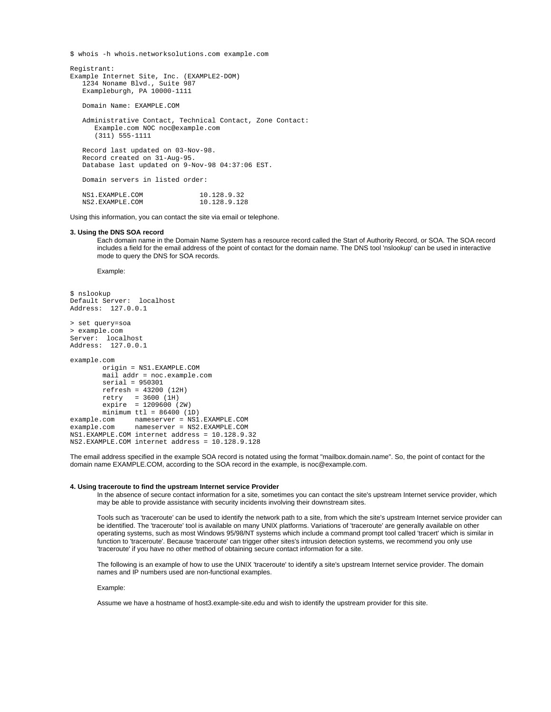\$ whois -h whois.networksolutions.com example.com

```
Registrant:
Example Internet Site, Inc. (EXAMPLE2-DOM)
    1234 Noname Blvd., Suite 987
    Exampleburgh, PA 10000-1111
    Domain Name: EXAMPLE.COM
    Administrative Contact, Technical Contact, Zone Contact:
       Example.com NOC noc@example.com
       (311) 555-1111
    Record last updated on 03-Nov-98.
    Record created on 31-Aug-95.
    Database last updated on 9-Nov-98 04:37:06 EST.
    Domain servers in listed order:
   NS1.EXAMPLE.COM 10.128.9.32<br>NS2.EXAMPLE.COM 10.128.9.128
    NS2.EXAMPLE.COM 10.128.9.128
```
Using this information, you can contact the site via email or telephone.

# <span id="page-4-0"></span>**3. Using the DNS SOA record**

Each domain name in the Domain Name System has a resource record called the Start of Authority Record, or SOA. The SOA record includes a field for the email address of the point of contact for the domain name. The DNS tool 'nslookup' can be used in interactive mode to query the DNS for SOA records.

Example:

```
$ nslookup
Default Server: localhost
Address: 127.0.0.1
```

```
> set query=soa
> example.com
Server: localhost
Address: 127.0.0.1
```

```
example.com
         origin = NS1.EXAMPLE.COM
         mail addr = noc.example.com
         serial = 950301
         refresh = 43200 (12H)
 retry = 3600 (1H)
 expire = 1209600 (2W)
        minimum ttl = 86400 (1D)example.com nameserver = NS1.EXAMPLE.COM<br>example.com nameserver = NS2.EXAMPLE.COM
                 example.com nameserver = NS2.EXAMPLE.COM
NS1.EXAMPLE.COM internet address = 10.128.9.32
NS2.EXAMPLE.COM internet address = 10.128.9.128
```
The email address specified in the example SOA record is notated using the format "mailbox.domain.name". So, the point of contact for the domain name EXAMPLE.COM, according to the SOA record in the example, is noc@example.com.

# <span id="page-4-1"></span>**4. Using traceroute to find the upstream Internet service Provider**

In the absence of secure contact information for a site, sometimes you can contact the site's upstream Internet service provider, which may be able to provide assistance with security incidents involving their downstream sites.

Tools such as 'traceroute' can be used to identify the network path to a site, from which the site's upstream Internet service provider can be identified. The 'traceroute' tool is available on many UNIX platforms. Variations of 'traceroute' are generally available on other operating systems, such as most Windows 95/98/NT systems which include a command prompt tool called 'tracert' which is similar in function to 'traceroute'. Because 'traceroute' can trigger other sites's intrusion detection systems, we recommend you only use 'traceroute' if you have no other method of obtaining secure contact information for a site.

The following is an example of how to use the UNIX 'traceroute' to identify a site's upstream Internet service provider. The domain names and IP numbers used are non-functional examples.

Example:

Assume we have a hostname of host3.example-site.edu and wish to identify the upstream provider for this site.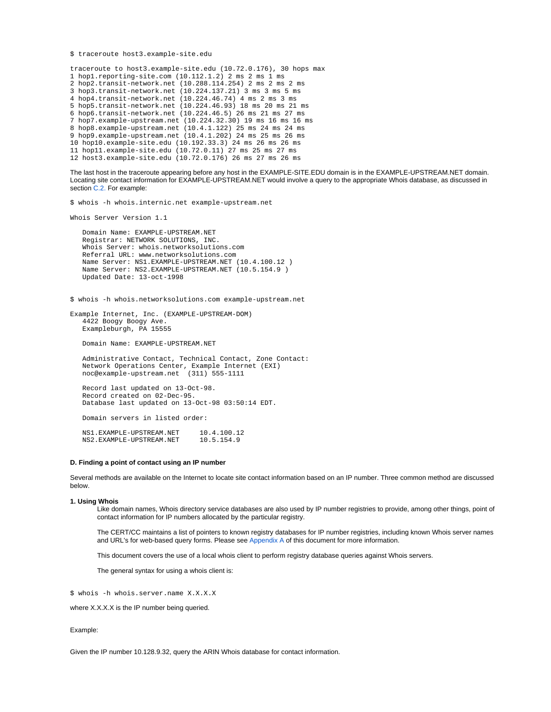```
$ traceroute host3.example-site.edu
```

```
traceroute to host3.example-site.edu (10.72.0.176), 30 hops max
1 hop1.reporting-site.com (10.112.1.2) 2 ms 2 ms 1 ms
2 hop2.transit-network.net (10.288.114.254) 2 ms 2 ms 2 ms
3 hop3.transit-network.net (10.224.137.21) 3 ms 3 ms 5 ms
4 hop4.transit-network.net (10.224.46.74) 4 ms 2 ms 3 ms
5 hop5.transit-network.net (10.224.46.93) 18 ms 20 ms 21 ms
6 hop6.transit-network.net (10.224.46.5) 26 ms 21 ms 27 ms
7 hop7.example-upstream.net (10.224.32.30) 19 ms 16 ms 16 ms
8 hop8.example-upstream.net (10.4.1.122) 25 ms 24 ms 24 ms
9 hop9.example-upstream.net (10.4.1.202) 24 ms 25 ms 26 ms
10 hop10.example-site.edu (10.192.33.3) 24 ms 26 ms 26 ms
11 hop11.example-site.edu (10.72.0.11) 27 ms 25 ms 27 ms
12 host3.example-site.edu (10.72.0.176) 26 ms 27 ms 26 ms
```
The last host in the traceroute appearing before any host in the EXAMPLE-SITE.EDU domain is in the EXAMPLE-UPSTREAM.NET domain. Locating site contact information for EXAMPLE-UPSTREAM.NET would involve a query to the appropriate Whois database, as discussed in section [C.2.](#page-2-3) For example:

\$ whois -h whois.internic.net example-upstream.net

```
Whois Server Version 1.1
```

```
 Domain Name: EXAMPLE-UPSTREAM.NET
 Registrar: NETWORK SOLUTIONS, INC.
 Whois Server: whois.networksolutions.com
 Referral URL: www.networksolutions.com
 Name Server: NS1.EXAMPLE-UPSTREAM.NET (10.4.100.12 )
 Name Server: NS2.EXAMPLE-UPSTREAM.NET (10.5.154.9 )
 Updated Date: 13-oct-1998
```
\$ whois -h whois.networksolutions.com example-upstream.net

Example Internet, Inc. (EXAMPLE-UPSTREAM-DOM) 4422 Boogy Boogy Ave. Exampleburgh, PA 15555

Domain Name: EXAMPLE-UPSTREAM.NET

 Administrative Contact, Technical Contact, Zone Contact: Network Operations Center, Example Internet (EXI) noc@example-upstream.net (311) 555-1111

 Record last updated on 13-Oct-98. Record created on 02-Dec-95. Database last updated on 13-Oct-98 03:50:14 EDT.

Domain servers in listed order:

NS1.EXAMPLE-UPSTREAM.NET 10.4.100.12<br>NS2 EXAMPLE-UPSTREAM NET 10.5.154.9 NS2.EXAMPLE-UPSTREAM.NET

# <span id="page-5-0"></span>**D. Finding a point of contact using an IP number**

Several methods are available on the Internet to locate site contact information based on an IP number. Three common method are discussed below.

## <span id="page-5-1"></span>**1. Using Whois**

Like domain names, Whois directory service databases are also used by IP number registries to provide, among other things, point of contact information for IP numbers allocated by the particular registry.

The CERT/CC maintains a list of pointers to known registry databases for IP number registries, including known Whois server names and URL's for web-based query forms. Please see [Appendix A](#page-7-0) of this document for more information.

This document covers the use of a local whois client to perform registry database queries against Whois servers.

The general syntax for using a whois client is:

\$ whois -h whois.server.name X.X.X.X

where X.X.X.X is the IP number being queried.

#### Example:

Given the IP number 10.128.9.32, query the ARIN Whois database for contact information.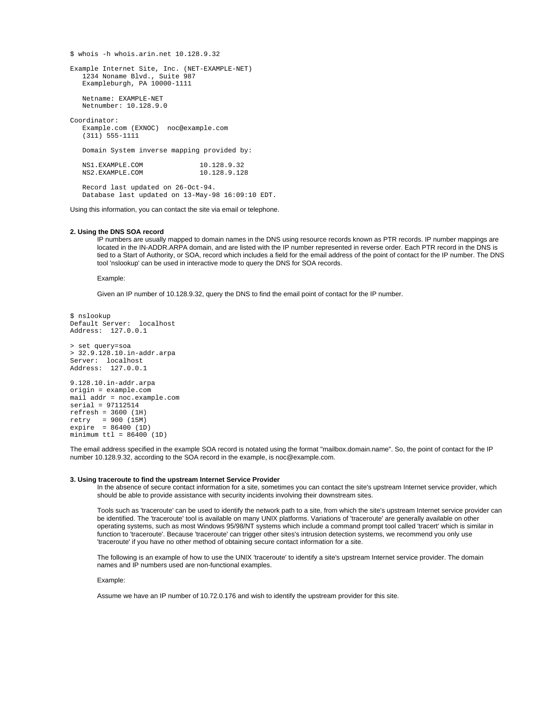\$ whois -h whois.arin.net 10.128.9.32 Example Internet Site, Inc. (NET-EXAMPLE-NET) 1234 Noname Blvd., Suite 987 Exampleburgh, PA 10000-1111 Netname: EXAMPLE-NET Netnumber: 10.128.9.0 Coordinator: Example.com (EXNOC) noc@example.com (311) 555-1111 Domain System inverse mapping provided by: NS1.EXAMPLE.COM 10.128.9.32<br>NS2.EXAMPLE.COM 10.128.9.128 NS2.EXAMPLE.COM 10.128.9.128 Record last updated on 26-Oct-94. Database last updated on 13-May-98 16:09:10 EDT.

Using this information, you can contact the site via email or telephone.

# <span id="page-6-0"></span>**2. Using the DNS SOA record**

IP numbers are usually mapped to domain names in the DNS using resource records known as PTR records. IP number mappings are located in the IN-ADDR.ARPA domain, and are listed with the IP number represented in reverse order. Each PTR record in the DNS is tied to a Start of Authority, or SOA, record which includes a field for the email address of the point of contact for the IP number. The DNS tool 'nslookup' can be used in interactive mode to query the DNS for SOA records.

#### Example:

Given an IP number of 10.128.9.32, query the DNS to find the email point of contact for the IP number.

```
$ nslookup
Default Server: localhost
Address: 127.0.0.1
> set query=soa
> 32.9.128.10.in-addr.arpa
Server: localhost
Address: 127.0.0.1
9.128.10.in-addr.arpa
origin = example.com
mail addr = noc.example.com
serial = 97112514
refresh = 3600 (1H)
retry = 900 (15M)
expire = 86400 (1D)
minimum ttl = 86400 (1D)
```
The email address specified in the example SOA record is notated using the format "mailbox.domain.name". So, the point of contact for the IP number 10.128.9.32, according to the SOA record in the example, is noc@example.com.

## <span id="page-6-1"></span>**3. Using traceroute to find the upstream Internet Service Provider**

In the absence of secure contact information for a site, sometimes you can contact the site's upstream Internet service provider, which should be able to provide assistance with security incidents involving their downstream sites.

Tools such as 'traceroute' can be used to identify the network path to a site, from which the site's upstream Internet service provider can be identified. The 'traceroute' tool is available on many UNIX platforms. Variations of 'traceroute' are generally available on other operating systems, such as most Windows 95/98/NT systems which include a command prompt tool called 'tracert' which is similar in function to 'traceroute'. Because 'traceroute' can trigger other sites's intrusion detection systems, we recommend you only use 'traceroute' if you have no other method of obtaining secure contact information for a site.

The following is an example of how to use the UNIX 'traceroute' to identify a site's upstream Internet service provider. The domain names and IP numbers used are non-functional examples.

Example:

Assume we have an IP number of 10.72.0.176 and wish to identify the upstream provider for this site.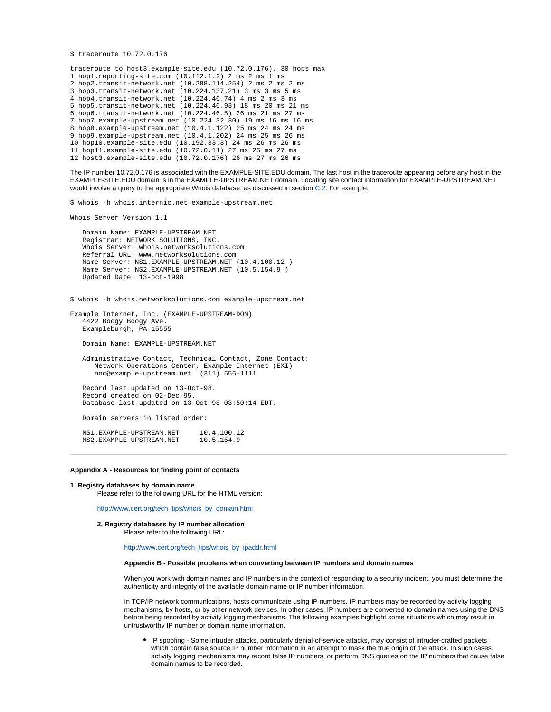```
$ traceroute 10.72.0.176
```

```
traceroute to host3.example-site.edu (10.72.0.176), 30 hops max
1 hop1.reporting-site.com (10.112.1.2) 2 ms 2 ms 1 ms
2 hop2.transit-network.net (10.288.114.254) 2 ms 2 ms 2 ms
3 hop3.transit-network.net (10.224.137.21) 3 ms 3 ms 5 ms
4 hop4.transit-network.net (10.224.46.74) 4 ms 2 ms 3 ms
5 hop5.transit-network.net (10.224.46.93) 18 ms 20 ms 21 ms
6 hop6.transit-network.net (10.224.46.5) 26 ms 21 ms 27 ms
7 hop7.example-upstream.net (10.224.32.30) 19 ms 16 ms 16 ms
8 hop8.example-upstream.net (10.4.1.122) 25 ms 24 ms 24 ms
9 hop9.example-upstream.net (10.4.1.202) 24 ms 25 ms 26 ms
10 hop10.example-site.edu (10.192.33.3) 24 ms 26 ms 26 ms
11 hop11.example-site.edu (10.72.0.11) 27 ms 25 ms 27 ms
12 host3.example-site.edu (10.72.0.176) 26 ms 27 ms 26 ms
```
The IP number 10.72.0.176 is associated with the EXAMPLE-SITE.EDU domain. The last host in the traceroute appearing before any host in the EXAMPLE-SITE.EDU domain is in the EXAMPLE-UPSTREAM.NET domain. Locating site contact information for EXAMPLE-UPSTREAM.NET would involve a query to the appropriate Whois database, as discussed in section [C.2.](#page-2-3) For example,

\$ whois -h whois.internic.net example-upstream.net

```
Whois Server Version 1.1
```
 Domain Name: EXAMPLE-UPSTREAM.NET Registrar: NETWORK SOLUTIONS, INC. Whois Server: whois.networksolutions.com Referral URL: www.networksolutions.com Name Server: NS1.EXAMPLE-UPSTREAM.NET (10.4.100.12 ) Name Server: NS2.EXAMPLE-UPSTREAM.NET (10.5.154.9 ) Updated Date: 13-oct-1998

\$ whois -h whois.networksolutions.com example-upstream.net

Example Internet, Inc. (EXAMPLE-UPSTREAM-DOM) 4422 Boogy Boogy Ave. Exampleburgh, PA 15555

Domain Name: EXAMPLE-UPSTREAM.NET

 Administrative Contact, Technical Contact, Zone Contact: Network Operations Center, Example Internet (EXI) noc@example-upstream.net (311) 555-1111 Record last updated on 13-Oct-98.

 Record created on 02-Dec-95. Database last updated on 13-Oct-98 03:50:14 EDT.

Domain servers in listed order:

NS1.EXAMPLE-UPSTREAM.NET 10.4.100.12<br>NS2 EXAMPLE-UPSTREAM.NET 10.5.154.9 NS2.EXAMPLE-UPSTREAM.NET

# <span id="page-7-0"></span>**Appendix A - Resources for finding point of contacts**

## <span id="page-7-3"></span><span id="page-7-2"></span><span id="page-7-1"></span>**1. Registry databases by domain name**

Please refer to the following URL for the HTML version:

[http://www.cert.org/tech\\_tips/whois\\_by\\_domain.html](https://vuls.cert.org/tech_tips/whois_by_domain.html)

**2. Registry databases by IP number allocation**

Please refer to the following URL:

[http://www.cert.org/tech\\_tips/whois\\_by\\_ipaddr.html](https://vuls.cert.org/tech_tips/whois_by_ipaddr.html)

# **Appendix B - Possible problems when converting between IP numbers and domain names**

When you work with domain names and IP numbers in the context of responding to a security incident, you must determine the authenticity and integrity of the available domain name or IP number information.

In TCP/IP network communications, hosts communicate using IP numbers. IP numbers may be recorded by activity logging mechanisms, by hosts, or by other network devices. In other cases, IP numbers are converted to domain names using the DNS before being recorded by activity logging mechanisms. The following examples highlight some situations which may result in untrustworthy IP number or domain name information.

IP spoofing - Some intruder attacks, particularly denial-of-service attacks, may consist of intruder-crafted packets which contain false source IP number information in an attempt to mask the true origin of the attack. In such cases, activity logging mechanisms may record false IP numbers, or perform DNS queries on the IP numbers that cause false domain names to be recorded.